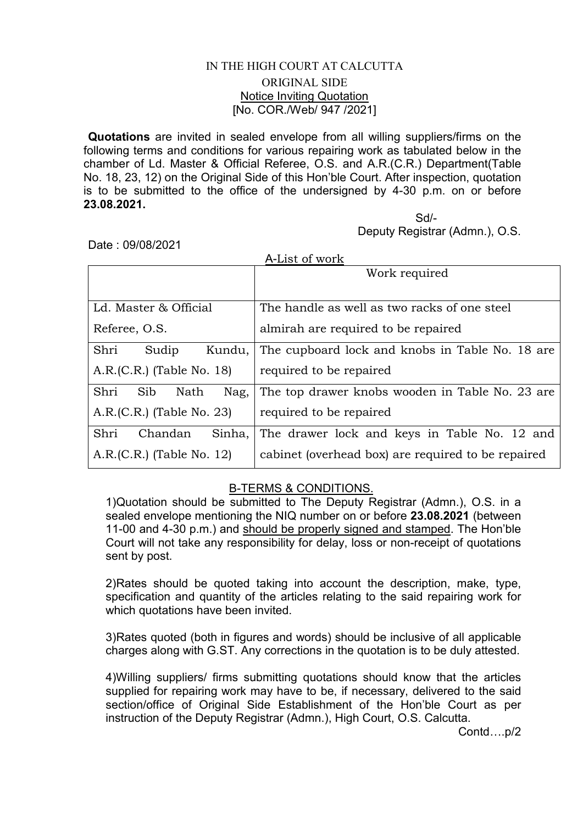## IN THE HIGH COURT AT CALCUTTA ORIGINAL SIDE Notice Inviting Quotation [No. COR./Web/ 947 /2021]

Quotations are invited in sealed envelope from all willing suppliers/firms on the following terms and conditions for various repairing work as tabulated below in the chamber of Ld. Master & Official Referee, O.S. and A.R.(C.R.) Department(Table No. 18, 23, 12) on the Original Side of this Hon'ble Court. After inspection, quotation is to be submitted to the office of the undersigned by 4-30 p.m. on or before 23.08.2021.

Sd/- Deputy Registrar (Admn.), O.S.

Date : 09/08/2021

| A-List of work              |                                                    |
|-----------------------------|----------------------------------------------------|
|                             | Work required                                      |
|                             |                                                    |
| Ld. Master & Official       | The handle as well as two racks of one steel       |
| Referee, O.S.               | almirah are required to be repaired                |
| Shri<br>Sudip<br>Kundu,     | The cupboard lock and knobs in Table No. 18 are    |
| $A.R.(C.R.)$ (Table No. 18) | required to be repaired                            |
| Shri<br>Sib<br>Nag,<br>Nath | The top drawer knobs wooden in Table No. 23 are    |
| $A.R.(C.R.)$ (Table No. 23) | required to be repaired                            |
| Shri<br>Sinha,<br>Chandan   | The drawer lock and keys in Table No. 12 and       |
| $A.R.(C.R.)$ (Table No. 12) | cabinet (overhead box) are required to be repaired |

## B-TERMS & CONDITIONS.

1)Quotation should be submitted to The Deputy Registrar (Admn.), O.S. in a sealed envelope mentioning the NIQ number on or before 23.08.2021 (between 11-00 and 4-30 p.m.) and should be properly signed and stamped. The Hon'ble Court will not take any responsibility for delay, loss or non-receipt of quotations sent by post.

2)Rates should be quoted taking into account the description, make, type, specification and quantity of the articles relating to the said repairing work for which quotations have been invited.

3)Rates quoted (both in figures and words) should be inclusive of all applicable charges along with G.ST. Any corrections in the quotation is to be duly attested.

4)Willing suppliers/ firms submitting quotations should know that the articles supplied for repairing work may have to be, if necessary, delivered to the said section/office of Original Side Establishment of the Hon'ble Court as per instruction of the Deputy Registrar (Admn.), High Court, O.S. Calcutta.

Contd….p/2